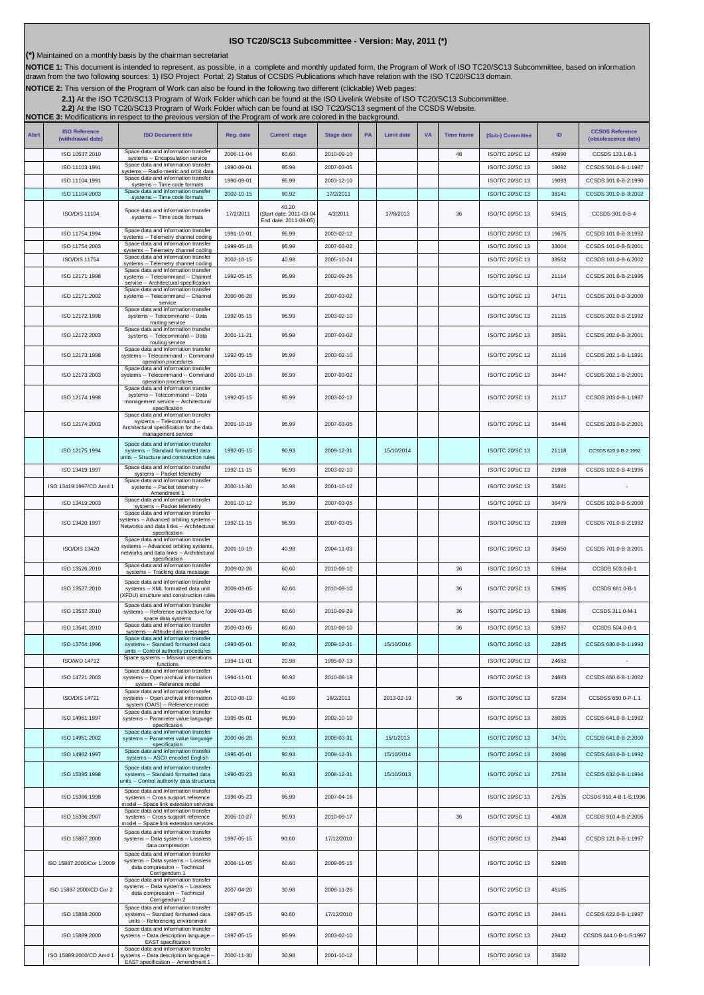## **ISO TC20/SC13 Subcommittee - Version: May, 2011 (\*)**

**(\*)** Maintained on a monthly basis by the chairman secretariat

**NOTICE 1:** This document is intended to represent, as possible, in a complete and monthly updated form, the Program of Work of ISO TC20/SC13 Subcommittee, based on information<br>drawn from the two following sources: 1) ISO

**NOTICE 2:** This version of the Program of Work can also be found in the following two different (clickable) Web pages:

2.1)At the ISO TC20/SC13 Program of Work Folder which can be found at the ISO Livelink Website of ISO TC20/SC13 Subcommittee.<br>[2.2\)](http://cwe.ccsds.org/cmc/docs/Forms/AllItems.aspx?RootFolder=%2fcmc%2fdocs%2fISO%20TC20%2dSC13%2fISO%20TC20%2dSC13%20Meeting%20Minutes%20and%20Presentations&FolderCTID=&View=%7bD5DD30F7%2d53FC%2d45B9%2d8B93%2d709B280A475B%7d) At the ISO TC20/SC13 Program of Work Folder which can be found at ISO TC20/SC13 segment of

| <b>Alert</b> | <b>ISO Reference</b><br>(withdrawal date) | <b>ISO Document title</b>                                                                                                                 | Reg. date  | <b>Current stage</b>                                     | <b>Stage date</b> | PA | <b>Limit date</b> | <b>VA</b> | <b>Time frame</b> | (Sub-) Committee       | ID    | <b>CCSDS Reference</b><br>(obsolescence date) |
|--------------|-------------------------------------------|-------------------------------------------------------------------------------------------------------------------------------------------|------------|----------------------------------------------------------|-------------------|----|-------------------|-----------|-------------------|------------------------|-------|-----------------------------------------------|
|              | ISO 10537:2010                            | Space data and information transfer<br>systems -- Encapsulation service                                                                   | 2006-11-04 | 60.60                                                    | 2010-09-10        |    |                   |           | 48                | ISO/TC 20/SC 13        | 45990 | CCSDS 133.1-B-1                               |
|              | ISO 11103:1991                            | Space data and information transfer<br>systems -- Radio metric and orbit data                                                             | 1990-09-01 | 95.99                                                    | 2007-03-05        |    |                   |           |                   | ISO/TC 20/SC 13        | 19092 | CCSDS 501.0-B-1:1987                          |
|              | ISO 11104:1991                            | Space data and information transfer<br>systems -- Time code formats                                                                       | 1990-09-01 | 95.99                                                    | 2003-12-10        |    |                   |           |                   | ISO/TC 20/SC 13        | 19093 | CCSDS 301.0-B-2:1990                          |
|              | ISO 11104:2003                            | Space data and information transfer<br>systems -- Time code formats                                                                       | 2002-10-15 | 90.92                                                    | 17/2/2011         |    |                   |           |                   | <b>ISO/TC 20/SC 13</b> | 38141 | CCSDS 301.0-B-3:2002                          |
|              | <b>ISO/DIS 11104</b>                      | Space data and information transfer<br>systems -- Time code formats                                                                       | 17/2/2011  | 40.20<br>Start date: 2011-03-04<br>End date: 2011-08-05) | 4/3/2011          |    | 17/8/2013         |           | 36                | <b>ISO/TC 20/SC 13</b> | 59415 | CCSDS 301.0-B-4                               |
|              | ISO 11754:1994                            | Space data and information transfer<br>systems -- Telemetry channel coding                                                                | 1991-10-01 | 95.99                                                    | 2003-02-12        |    |                   |           |                   | ISO/TC 20/SC 13        | 19675 | CCSDS 101.0-B-3:1992                          |
|              | ISO 11754:2003                            | Space data and information transfer<br>systems -- Telemetry channel coding                                                                | 1999-05-18 | 95.99                                                    | 2007-03-02        |    |                   |           |                   | ISO/TC 20/SC 13        | 33004 | CCSDS 101.0-B-5:2001                          |
|              | <b>ISO/DIS 11754</b>                      | Space data and information transfer<br>systems -- Telemetry channel coding                                                                | 2002-10-15 | 40.98                                                    | 2005-10-24        |    |                   |           |                   | ISO/TC 20/SC 13        | 38562 | CCSDS 101.0-B-6:2002                          |
|              | ISO 12171:1998                            | Space data and information transfer<br>systems -- Telecommand -- Channel<br>service -- Architectural specification                        | 1992-05-15 | 95.99                                                    | 2002-09-26        |    |                   |           |                   | <b>ISO/TC 20/SC 13</b> | 21114 | CCSDS 201.0-B-2:1995                          |
|              | ISO 12171:2002                            | Space data and information transfer<br>systems -- Telecommand -- Channel<br>service                                                       | 2000-06-28 | 95.99                                                    | 2007-03-02        |    |                   |           |                   | ISO/TC 20/SC 13        | 34711 | CCSDS 201.0-B-3:2000                          |
|              | ISO 12172:1998                            | Space data and information transfer<br>systems -- Telecommand -- Data<br>routing service<br>Space data and information transfer           | 1992-05-15 | 95.99                                                    | 2003-02-10        |    |                   |           |                   | ISO/TC 20/SC 13        | 21115 | CCSDS 202.0-B-2:1992                          |
|              | ISO 12172:2003                            | systems -- Telecommand -- Data<br>routing service<br>Space data and information transfer                                                  | 2001-11-21 | 95.99                                                    | 2007-03-02        |    |                   |           |                   | <b>ISO/TC 20/SC 13</b> | 36591 | CCSDS 202.0-B-3:2001                          |
|              | ISO 12173:1998                            | systems -- Telecommand -- Command<br>operation procedures<br>Space data and information transfer                                          | 1992-05-15 | 95.99                                                    | 2003-02-10        |    |                   |           |                   | <b>ISO/TC 20/SC 13</b> | 21116 | CCSDS 202.1-B-1:1991                          |
|              | ISO 12173:2003                            | systems -- Telecommand -- Command<br>operation procedures<br>Space data and information transfer                                          | 2001-10-19 | 95.99                                                    | 2007-03-02        |    |                   |           |                   | <b>ISO/TC 20/SC 13</b> | 36447 | CCSDS 202.1-B-2:2001                          |
|              | ISO 12174:1998                            | systems -- Telecommand -- Data<br>management service -- Architectural<br>specification<br>Space data and information transfer             | 1992-05-15 | 95.99                                                    | 2003-02-12        |    |                   |           |                   | <b>ISO/TC 20/SC 13</b> | 21117 | CCSDS 203.0-B-1:1987                          |
|              | ISO 12174:2003                            | systems -- Telecommand --<br>Architectural specification for the data<br>management service                                               | 2001-10-19 | 95.99                                                    | 2007-03-05        |    |                   |           |                   | <b>ISO/TC 20/SC 13</b> | 36446 | CCSDS 203.0-B-2:2001                          |
|              | ISO 12175:1994                            | Space data and information transfer<br>systems -- Standard formatted data<br>units -- Structure and construction rules                    | 1992-05-15 | 90.93                                                    | 2009-12-31        |    | 15/10/2014        |           |                   | ISO/TC 20/SC 13        | 21118 | CCSDS 620.0-B-2:1992                          |
|              | ISO 13419:1997                            | Space data and information transfer<br>systems -- Packet telemetry                                                                        | 1992-11-15 | 95.99                                                    | 2003-02-10        |    |                   |           |                   | ISO/TC 20/SC 13        | 21968 | CCSDS 102.0-B-4:1995                          |
|              | ISO 13419:1997/CD Amd 1                   | Space data and information transfer<br>systems -- Packet telemetry --<br>Amendment 1                                                      | 2000-11-30 | 30.98                                                    | 2001-10-12        |    |                   |           |                   | ISO/TC 20/SC 13        | 35681 |                                               |
|              | ISO 13419:2003                            | Space data and information transfer<br>systems -- Packet telemetry                                                                        | 2001-10-12 | 95.99                                                    | 2007-03-05        |    |                   |           |                   | ISO/TC 20/SC 13        | 36479 | CCSDS 102.0-B-5:2000                          |
|              | ISO 13420:1997                            | Space data and information transfer<br>systems -- Advanced orbiting systems<br>Networks and data links -- Architectural<br>specification  | 1992-11-15 | 95.99                                                    | 2007-03-05        |    |                   |           |                   | ISO/TC 20/SC 13        | 21969 | CCSDS 701.0-B-2:1992                          |
|              | <b>ISO/DIS 13420</b>                      | Space data and information transfer<br>systems -- Advanced orbiting systems,<br>networks and data links -- Architectural<br>specification | 2001-10-19 | 40.98                                                    | 2004-11-03        |    |                   |           |                   | ISO/TC 20/SC 13        | 36450 | CCSDS 701.0-B-3:2001                          |
|              | ISO 13526:2010                            | Space data and information transfer<br>systems -- Tracking data message                                                                   | 2009-02-26 | 60.60                                                    | 2010-09-10        |    |                   |           | 36                | ISO/TC 20/SC 13        | 53984 | CCSDS 503.0-B-1                               |
|              | ISO 13527:2010                            | Space data and information transfer<br>systems -- XML formatted data unit<br>XFDU) structure and construction rules                       | 2009-03-05 | 60.60                                                    | 2010-09-10        |    |                   |           | 36                | ISO/TC 20/SC 13        | 53985 | CCSDS 661.0-B-1                               |
|              | ISO 13537:2010                            | Space data and information transfer<br>systems -- Reference architecture for<br>space data systems                                        | 2009-03-05 | 60.60                                                    | 2010-09-29        |    |                   |           | 36                | ISO/TC 20/SC 13        | 53986 | CCSDS 311.0-M-1                               |
|              | ISO 13541:2010                            | Space data and information transfer<br>systems -- Attitude data messages                                                                  | 2009-03-05 | 60.60                                                    | 2010-09-10        |    |                   |           | 36                | ISO/TC 20/SC 13        | 53987 | CCSDS 504.0-B-1                               |
|              | ISO 13764:1996                            | Space data and information transfer<br>systems -- Standard formatted data<br>units -- Control authority procedures                        | 1993-05-01 | 90.93                                                    | 2009-12-31        |    | 15/10/2014        |           |                   | <b>ISO/TC 20/SC 13</b> | 22845 | CCSDS 630.0-B-1:1993                          |
|              | ISO/WD 14712                              | Space systems -- Mission operations<br>functions                                                                                          | 1994-11-01 | 20.98                                                    | 1995-07-13        |    |                   |           |                   | ISO/TC 20/SC 13        | 24682 |                                               |
|              | ISO 14721:2003                            | Space data and information transfer<br>systems -- Open archival information<br>system -- Reference model                                  | 1994-11-01 | 90.92                                                    | 2010-08-18        |    |                   |           |                   | ISO/TC 20/SC 13        | 24683 | CCSDS 650.0-B-1:2002                          |
|              | <b>ISO/DIS 14721</b>                      | Space data and information transfer<br>systems -- Open archival information<br>system (OAIS) -- Reference model                           | 2010-08-19 | 40.99                                                    | 18/2/2011         |    | 2013-02-19        |           | 36                | ISO/TC 20/SC 13        | 57284 | CCSDSS 650.0-P-1.1                            |
|              | ISO 14961:1997                            | Space data and information transfer<br>systems -- Parameter value language<br>specification                                               | 1995-05-01 | 95.99                                                    | 2002-10-10        |    |                   |           |                   | ISO/TC 20/SC 13        | 26095 | CCSDS 641.0-B-1:1992                          |
|              | ISO 14961:2002                            | Space data and information transfer<br>systems -- Parameter value language<br>specification                                               | 2000-06-28 | 90.93                                                    | 2008-03-31        |    | 15/1/2013         |           |                   | <b>ISO/TC 20/SC 13</b> | 34701 | CCSDS 641.0-B-2:2000                          |
|              | ISO 14962:1997                            | Space data and information transfer<br>systems -- ASCII encoded English                                                                   | 1995-05-01 | 90.93                                                    | 2009-12-31        |    | 15/10/2014        |           |                   | <b>ISO/TC 20/SC 13</b> | 26096 | CCSDS 643.0-B-1:1992                          |
|              | ISO 15395:1998                            | Space data and information transfer<br>systems -- Standard formatted data<br>units -- Control authority data structures                   | 1996-05-23 | 90.93                                                    | 2008-12-31        |    | 15/10/2013        |           |                   | ISO/TC 20/SC 13        | 27534 | CCSDS 632.0-B-1:1994                          |
|              | ISO 15396:1998                            | Space data and information transfer<br>systems -- Cross support reference<br>model -- Space link extension services                       | 1996-05-23 | 95.99                                                    | 2007-04-16        |    |                   |           |                   | ISO/TC 20/SC 13        | 27535 | CCSDS 910.4-B-1-S:1996                        |
|              | ISO 15396:2007                            | Space data and information transfer<br>systems -- Cross support reference<br>model -- Space link extension services                       | 2005-10-27 | 90.93                                                    | 2010-09-17        |    |                   |           | 36                | ISO/TC 20/SC 13        | 43828 | CCSDS 910.4-B-2:2005                          |
|              | ISO 15887:2000                            | Space data and information transfer<br>systems -- Data systems -- Lossless<br>data compression                                            | 1997-05-15 | 90.60                                                    | 17/12/2010        |    |                   |           |                   | ISO/TC 20/SC 13        | 29440 | CCSDS 121.0-B-1:1997                          |
|              | ISO 15887:2000/Cor 1:2009                 | Space data and information transfer<br>systems -- Data systems -- Lossless<br>data compression -- Technical<br>Corrigendum 1              | 2008-11-05 | 60.60                                                    | 2009-05-15        |    |                   |           |                   | ISO/TC 20/SC 13        | 52985 |                                               |
|              | ISO 15887:2000/CD Cor 2                   | Space data and information transfer<br>systems -- Data systems -- Lossless<br>data compression -- Technical<br>Corrigendum 2              | 2007-04-20 | 30.98                                                    | 2008-11-26        |    |                   |           |                   | ISO/TC 20/SC 13        | 46185 |                                               |
|              | ISO 15888:2000                            | Space data and information transfer<br>systems -- Standard formatted data<br>units -- Referencing environment                             | 1997-05-15 | 90.60                                                    | 17/12/2010        |    |                   |           |                   | ISO/TC 20/SC 13        | 29441 | CCSDS 622.0-B-1:1997                          |
|              | ISO 15889:2000                            | Space data and information transfer<br>systems -- Data description language -<br>EAST specification                                       | 1997-05-15 | 95.99                                                    | 2003-02-10        |    |                   |           |                   | ISO/TC 20/SC 13        | 29442 | CCSDS 644.0-B-1-S:1997                        |
|              | ISO 15889:2000/CD Amd 1                   | Space data and information transfer<br>systems -- Data description language<br>EAST specification -- Amendment 1                          | 2000-11-30 | 30.98                                                    | 2001-10-12        |    |                   |           |                   | ISO/TC 20/SC 13        | 35682 |                                               |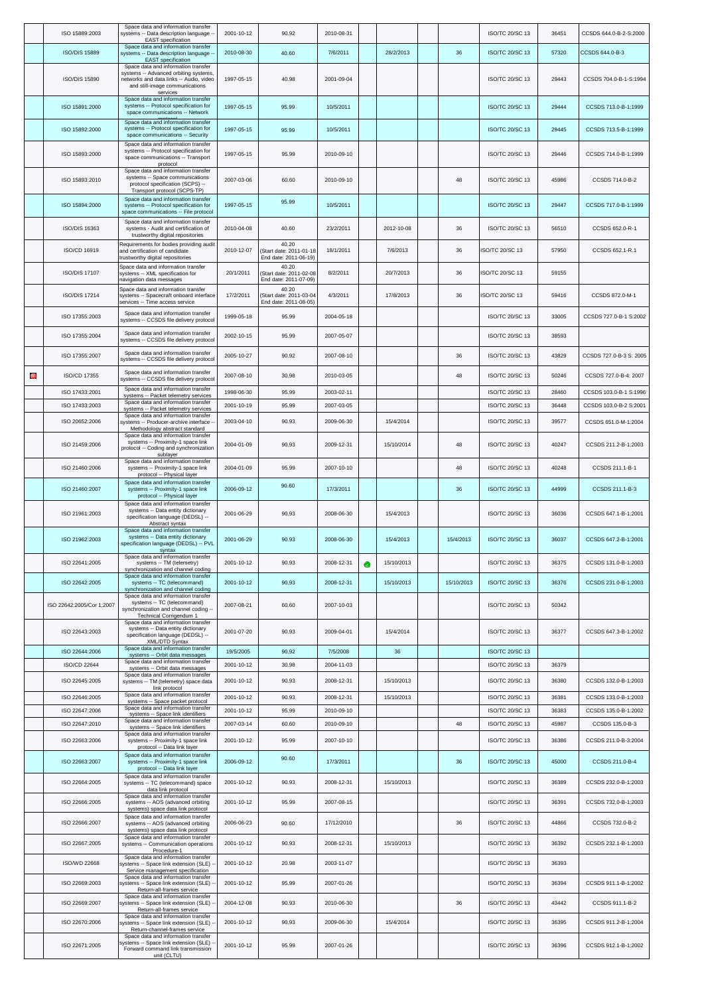|   | ISO 15889:2003                 | Space data and information transfer<br>systems -- Data description language -<br><b>EAST</b> specification                                                             | 2001-10-12              | 90.92                                                     | 2010-08-31             |   |            |            | ISO/TC 20/SC 13                    | 36451 | CCSDS 644.0-B-2-S:2000  |
|---|--------------------------------|------------------------------------------------------------------------------------------------------------------------------------------------------------------------|-------------------------|-----------------------------------------------------------|------------------------|---|------------|------------|------------------------------------|-------|-------------------------|
|   | <b>ISO/DIS 15889</b>           | Space data and information transfer<br>systems -- Data description language -<br><b>EAST</b> specification                                                             | 2010-08-30              | 40.60                                                     | 7/6/2011               |   | 28/2/2013  | 36         | <b>ISO/TC 20/SC 13</b>             | 57320 | CCSDS 644.0-B-3         |
|   | <b>ISO/DIS 15890</b>           | Space data and information transfer<br>systems -- Advanced orbiting systems,<br>networks and data links -- Audio, video<br>and still-image communications<br>services  | 1997-05-15              | 40.98                                                     | 2001-09-04             |   |            |            | ISO/TC 20/SC 13                    | 29443 | CCSDS 704.0-B-1-S:1994  |
|   | ISO 15891:2000                 | Space data and information transfer<br>systems -- Protocol specification for<br>space communications -- Network                                                        | 1997-05-15              | 95.99                                                     | 10/5/2011              |   |            |            | ISO/TC 20/SC 13                    | 29444 | CCSDS 713.0-B-1:1999    |
|   | ISO 15892:2000                 | Space data and information transfer<br>systems -- Protocol specification for<br>space communications -- Security                                                       | 1997-05-15              | 95.99                                                     | 10/5/2011              |   |            |            | <b>ISO/TC 20/SC 13</b>             | 29445 | CCSDS 713.5-B-1:1999    |
|   | ISO 15893:2000                 | Space data and information transfer<br>systems -- Protocol specification for<br>space communications -- Transport<br>protocol                                          | 1997-05-15              | 95.99                                                     | 2010-09-10             |   |            |            | ISO/TC 20/SC 13                    | 29446 | CCSDS 714.0-B-1:1999    |
|   | ISO 15893:2010                 | Space data and information transfer<br>systems -- Space communications<br>protocol specification (SCPS) --<br>Transport protocol (SCPS-TP)                             | 2007-03-06              | 60.60                                                     | 2010-09-10             |   |            | 48         | ISO/TC 20/SC 13                    | 45986 | CCSDS 714.0-B-2         |
|   | ISO 15894:2000                 | Space data and information transfer<br>systems -- Protocol specification for<br>space communications -- File protocol                                                  | 1997-05-15              | 95.99                                                     | 10/5/2011              |   |            |            | <b>ISO/TC 20/SC 13</b>             | 29447 | CCSDS 717.0-B-1:1999    |
|   | ISO/DIS 16363                  | Space data and information transfer<br>systems - Audit and certification of<br>trustworthy digital repositories                                                        | 2010-04-08              | 40.60                                                     | 23/2/2011              |   | 2012-10-08 | 36         | ISO/TC 20/SC 13                    | 56510 | CCSDS 652.0-R-1         |
|   | ISO/CD 16919                   | Requirements for bodies providing audit<br>and certification of candidate<br>trustworthy digital repositories                                                          | 2010-12-07              | 40.20<br>Start date: 2011-01-18<br>End date: 2011-06-19)  | 18/1/2011              |   | 7/6/2013   | 36         | ISO/TC 20/SC 13                    | 57950 | CCSDS 652.1-R.1         |
|   | <b>ISO/DIS 17107</b>           | Space data and information transfer<br>systems -- XML specification for<br>navigation data messages                                                                    | 20/1/2011               | 40.20<br>Start date: 2011-02-08<br>End date: 2011-07-09)  | 8/2/2011               |   | 20/7/2013  | 36         | ISO/TC 20/SC 13                    | 59155 |                         |
|   | <b>ISO/DIS 17214</b>           | Space data and information transfer<br>systems -- Spacecraft onboard interface<br>services -- Time access service                                                      | 17/2/2011               | 40.20<br>(Start date: 2011-03-04<br>End date: 2011-08-05) | 4/3/2011               |   | 17/8/2013  | 36         | ISO/TC 20/SC 13                    | 59416 | CCSDS 872.0-M-1         |
|   | ISO 17355:2003                 | Space data and information transfer<br>systems -- CCSDS file delivery protocol                                                                                         | 1999-05-18              | 95.99                                                     | 2004-05-18             |   |            |            | ISO/TC 20/SC 13                    | 33005 | CCSDS 727.0-B-1 S:2002  |
|   | ISO 17355:2004                 | Space data and information transfer<br>systems -- CCSDS file delivery protocol                                                                                         | 2002-10-15              | 95.99                                                     | 2007-05-07             |   |            |            | ISO/TC 20/SC 13                    | 38593 |                         |
|   | ISO 17355:2007                 | Space data and information transfer<br>systems -- CCSDS file delivery protocol                                                                                         | 2005-10-27              | 90.92                                                     | 2007-08-10             |   |            | 36         | ISO/TC 20/SC 13                    | 43829 | CCSDS 727.0-B-3 S: 2005 |
| Θ | ISO/CD 17355                   | Space data and information transfer<br>systems -- CCSDS file delivery protoco                                                                                          | 2007-08-10              | 30.98                                                     | 2010-03-05             |   |            | 48         | <b>ISO/TC 20/SC 13</b>             | 50246 | CCSDS 727.0-B-4: 2007   |
|   | ISO 17433:2001                 | Space data and information transfer<br>systems -- Packet telemetry services                                                                                            | 1998-06-30              | 95.99                                                     | 2003-02-11             |   |            |            | ISO/TC 20/SC 13                    | 28460 | CCSDS 103.0-B-1 S:1996  |
|   | ISO 17433:2003                 | Space data and information transfer<br>systems -- Packet telemetry services                                                                                            | 2001-10-19              | 95.99                                                     | 2007-03-05             |   |            |            | ISO/TC 20/SC 13                    | 36448 | CCSDS 103.0-B-2 S:2001  |
|   | ISO 20652:2006                 | Space data and information transfer<br>systems -- Producer-archive interface -                                                                                         | 2003-04-10              | 90.93                                                     | 2009-06-30             |   | 15/4/2014  |            | ISO/TC 20/SC 13                    | 39577 | CCSDS 651.0-M-1:2004    |
|   | ISO 21459:2006                 | Methodology abstract standard<br>Space data and information transfer<br>systems -- Proximity-1 space link<br>protocol -- Coding and synchronization<br>sublayer        | 2004-01-09              | 90.93                                                     | 2009-12-31             |   | 15/10/2014 | 48         | <b>ISO/TC 20/SC 13</b>             | 40247 | CCSDS 211.2-B-1:2003    |
|   | ISO 21460:2006                 | Space data and information transfer<br>systems -- Proximity-1 space link<br>protocol -- Physical layer                                                                 | 2004-01-09              | 95.99                                                     | 2007-10-10             |   |            | 48         | <b>ISO/TC 20/SC 13</b>             | 40248 | CCSDS 211.1-B-1         |
|   | ISO 21460:2007                 | Space data and information transfer<br>systems -- Proximity-1 space link<br>protocol -- Physical layer                                                                 | 2006-09-12              | 90.60                                                     | 17/3/2011              |   |            | 36         | <b>ISO/TC 20/SC 13</b>             | 44999 | CCSDS 211.1-B-3         |
|   | ISO 21961:2003                 | Space data and information transfer<br>systems -- Data entity dictionary<br>specification language (DEDSL) --<br>Abstract syntax                                       | 2001-06-29              | 90.93                                                     | 2008-06-30             |   | 15/4/2013  |            | ISO/TC 20/SC 13                    | 36036 | CCSDS 647.1-B-1:2001    |
|   | ISO 21962:2003                 | Space data and information transfer<br>systems -- Data entity dictionary<br>specification language (DEDSL) -- PVL<br>syntax                                            | 2001-06-29              | 90.93                                                     | 2008-06-30             |   | 15/4/2013  | 15/4/2013  | ISO/TC 20/SC 13                    | 36037 | CCSDS 647.2-B-1:2001    |
|   | ISO 22641:2005                 | Space data and information transfer<br>systems -- TM (telemetry)<br>synchronization and channel coding                                                                 | 2001-10-12              | 90.93                                                     | 2008-12-31             | ۰ | 15/10/2013 |            | ISO/TC 20/SC 13                    | 36375 | CCSDS 131.0-B-1:2003    |
|   | ISO 22642:2005                 | Space data and information transfer<br>systems -- TC (telecommand)<br>synchronization and channel coding<br>Space data and information transfer                        | 2001-10-12              | 90.93                                                     | 2008-12-31             |   | 15/10/2013 | 15/10/2013 | ISO/TC 20/SC 13                    | 36376 | CCSDS 231.0-B-1:2003    |
|   | ISO 22642:2005/Cor 1:2007      | systems -- TC (telecommand)<br>synchronization and channel coding --<br>Technical Corrigendum 1                                                                        | 2007-08-21              | 60.60                                                     | 2007-10-03             |   |            |            | ISO/TC 20/SC 13                    | 50342 |                         |
|   | ISO 22643:2003                 | Space data and information transfer<br>systems -- Data entity dictionary<br>specification language (DEDSL) --<br>XML/DTD Syntax<br>Space data and information transfer | 2001-07-20              | 90.93                                                     | 2009-04-01             |   | 15/4/2014  |            | ISO/TC 20/SC 13                    | 36377 | CCSDS 647.3-B-1:2002    |
|   | ISO 22644:2006<br>ISO/CD 22644 | systems -- Orbit data messages<br>Space data and information transfer                                                                                                  | 19/5/2005<br>2001-10-12 | 90.92<br>30.98                                            | 7/5/2008<br>2004-11-03 |   | 36         |            | ISO/TC 20/SC 13<br>ISO/TC 20/SC 13 | 36379 |                         |
|   | ISO 22645:2005                 | systems -- Orbit data messages<br>Space data and information transfer<br>systems -- TM (telemetry) space data                                                          | 2001-10-12              | 90.93                                                     | 2008-12-31             |   | 15/10/2013 |            | <b>ISO/TC 20/SC 13</b>             | 36380 | CCSDS 132.0-B-1:2003    |
|   | ISO 22646:2005                 | link protocol<br>Space data and information transfer                                                                                                                   | 2001-10-12              | 90.93                                                     | 2008-12-31             |   | 15/10/2013 |            | ISO/TC 20/SC 13                    | 36381 | CCSDS 133.0-B-1:2003    |
|   | ISO 22647:2006                 | systems -- Space packet protoco<br>Space data and information transfer<br>systems -- Space link identifiers                                                            | 2001-10-12              | 95.99                                                     | 2010-09-10             |   |            |            | ISO/TC 20/SC 13                    | 36383 | CCSDS 135.0-B-1:2002    |
|   | ISO 22647:2010                 | Space data and information transfer<br>systems -- Space link identifiers                                                                                               | 2007-03-14              | 60.60                                                     | 2010-09-10             |   |            | 48         | ISO/TC 20/SC 13                    | 45987 | CCSDS 135.0-B-3         |
|   | ISO 22663:2006                 | Space data and information transfer<br>systems -- Proximity-1 space link<br>protocol -- Data link layer                                                                | 2001-10-12              | 95.99                                                     | 2007-10-10             |   |            |            | ISO/TC 20/SC 13                    | 36386 | CCSDS 211.0-B-3:2004    |
|   | ISO 22663:2007                 | Space data and information transfer<br>systems -- Proximity-1 space link<br>protocol -- Data link layer                                                                | 2006-09-12              | 90.60                                                     | 17/3/2011              |   |            | 36         | ISO/TC 20/SC 13                    | 45000 | CCSDS 211.0-B-4         |
|   | ISO 22664:2005                 | Space data and information transfer<br>systems -- TC (telecommand) space<br>data link protocol<br>Space data and information transfer                                  | 2001-10-12              | 90.93                                                     | 2008-12-31             |   | 15/10/2013 |            | ISO/TC 20/SC 13                    | 36389 | CCSDS 232.0-B-1:2003    |
|   | ISO 22666:2005                 | systems -- AOS (advanced orbiting<br>systems) space data link protocol                                                                                                 | 2001-10-12              | 95.99                                                     | 2007-08-15             |   |            |            | ISO/TC 20/SC 13                    | 36391 | CCSDS 732.0-B-1:2003    |
|   | ISO 22666:2007                 | Space data and information transfer<br>systems -- AOS (advanced orbiting<br>systems) space data link protocol                                                          | 2006-06-23              | 90.60                                                     | 17/12/2010             |   |            | 36         | ISO/TC 20/SC 13                    | 44866 | CCSDS 732.0-B-2         |
|   | ISO 22667:2005                 | Space data and information transfer<br>systems -- Communication operations<br>Procedure-1                                                                              | 2001-10-12              | 90.93                                                     | 2008-12-31             |   | 15/10/2013 |            | ISO/TC 20/SC 13                    | 36392 | CCSDS 232.1-B-1:2003    |
|   | <b>ISO/WD 22668</b>            | Space data and information transfer<br>systems -- Space link extension (SLE)<br>Service management specification                                                       | 2001-10-12              | 20.98                                                     | 2003-11-07             |   |            |            | ISO/TC 20/SC 13                    | 36393 |                         |
|   | ISO 22669:2003                 | Space data and information transfer<br>systems -- Space link extension (SLE)<br>Return-all-frames service                                                              | 2001-10-12              | 95.99                                                     | 2007-01-26             |   |            |            | ISO/TC 20/SC 13                    | 36394 | CCSDS 911.1-B-1:2002    |
|   | ISO 22669:2007                 | Space data and information transfer<br>systems -- Space link extension (SLE)<br>Return-all-frames service                                                              | 2004-12-08              | 90.93                                                     | 2010-06-30             |   |            | 36         | ISO/TC 20/SC 13                    | 43442 | CCSDS 911.1-B-2         |
|   | ISO 22670:2006                 | Space data and information transfer<br>systems -- Space link extension (SLE)<br>Return-channel-frames service                                                          | 2001-10-12              | 90.93                                                     | 2009-06-30             |   | 15/4/2014  |            | ISO/TC 20/SC 13                    | 36395 | CCSDS 911.2-B-1:2004    |
|   | ISO 22671:2005                 | Space data and information transfer<br>systems -- Space link extension (SLE)<br>Forward command link transmission<br>unit (CLTU)                                       | 2001-10-12              | 95.99                                                     | 2007-01-26             |   |            |            | ISO/TC 20/SC 13                    | 36396 | CCSDS 912.1-B-1:2002    |